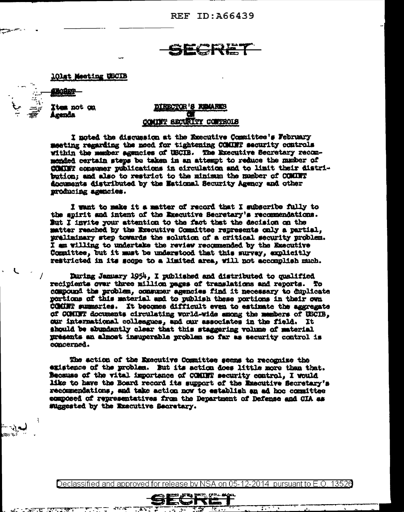REF ID: A66439

### **101st Meeting USCIB**

- ا -

**Item not on** Agenda

## **OR'S KIMARKS IT SECURITY CONTROLS**

I noted the discussion at the Executive Committee's February meeting regarding the need for tightening COMINT security controls within the mamber agencies of USCIB. The Executive Secretary recommended certain steps be taken in an attempt to reduce the mumber of COMMT consumer publications in circulation and to limit their distribution: and also to restrict to the minimum the number of COMINT documents distributed by the Maticmal Security Agency and other producing agencies.

I want to make it a matter of record that I subscribe fully to the spirit and intent of the Executive Secretary's recommendations. But I invite your attention to the fact that the decision on the matter reached by the Executive Committee represents only a partial, preliminary step towards the solution of a critical security problem. I am willing to undertake the review recommended by the Executive Committee, but it must be understood that this survay, explicitly restricted in its scope to a limited area, will not accomplish much.

During January 1954, I published and distributed to qualified recipients over three million pages of translations and reports. To compound the problem, communer agencies find it necessary to duplicate portions of this material and to publish these portions in their own COMMET summaries. It becomes difficult even to estimate the aggregate of COMINT documents circulating world-wide among the members of USCIB, our international colleagues, and our associates in the field. It should be abundantly clear that this staggering volume of material presents an almost insuperable problem so far as security control is concerned.

The action of the Executive Committee seems to recognize the existence of the problem. But its action does little more than that. Because of the vital importance of COMMT security control. I would like to have the Board record its support of the Executive Secretary's recommendations, and take action now to establish an ad hoc committee composed of representatives from the Department of Defense and CIA as suggested by the Executive Secretary.

Declassified and approved for release by NSA on 05-12-2014 pursuant to E.O. 13526